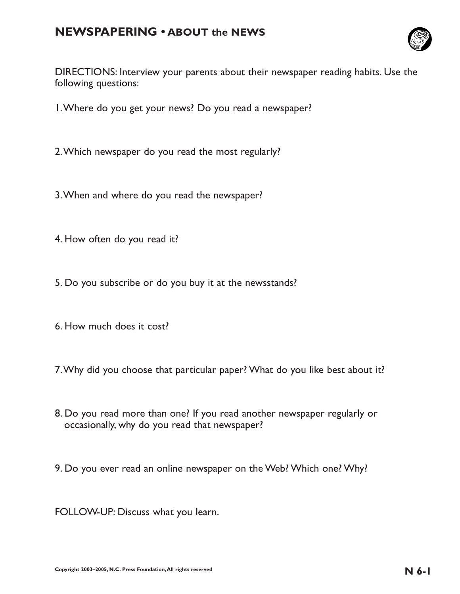## **NEWSPAPERING • ABOUT the NEWS**



DIRECTIONS: Interview your parents about their newspaper reading habits. Use the following questions:

- 1.Where do you get your news? Do you read a newspaper?
- 2.Which newspaper do you read the most regularly?
- 3.When and where do you read the newspaper?
- 4. How often do you read it?
- 5. Do you subscribe or do you buy it at the newsstands?
- 6. How much does it cost?
- 7.Why did you choose that particular paper? What do you like best about it?
- 8. Do you read more than one? If you read another newspaper regularly or occasionally, why do you read that newspaper?
- 9. Do you ever read an online newspaper on the Web? Which one? Why?
- FOLLOW-UP: Discuss what you learn.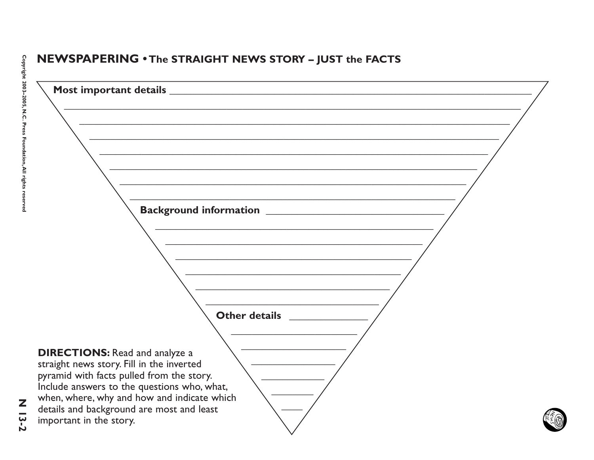## NEWSPAPERING . The STRAIGHT NEWS STORY - JUST the FACTS



 $13-2$ 

Z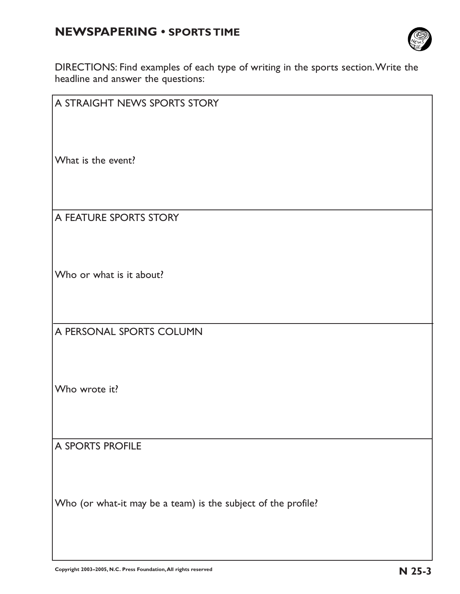# **NEWSPAPERING • SPORTS TIME**



DIRECTIONS: Find examples of each type of writing in the sports section.Write the headline and answer the questions:

| A STRAIGHT NEWS SPORTS STORY                                  |  |  |
|---------------------------------------------------------------|--|--|
|                                                               |  |  |
|                                                               |  |  |
| What is the event?                                            |  |  |
|                                                               |  |  |
|                                                               |  |  |
| A FEATURE SPORTS STORY                                        |  |  |
|                                                               |  |  |
|                                                               |  |  |
| Who or what is it about?                                      |  |  |
|                                                               |  |  |
|                                                               |  |  |
| A PERSONAL SPORTS COLUMN                                      |  |  |
|                                                               |  |  |
|                                                               |  |  |
| Who wrote it?                                                 |  |  |
|                                                               |  |  |
|                                                               |  |  |
| A SPORTS PROFILE                                              |  |  |
|                                                               |  |  |
|                                                               |  |  |
| Who (or what-it may be a team) is the subject of the profile? |  |  |
|                                                               |  |  |
|                                                               |  |  |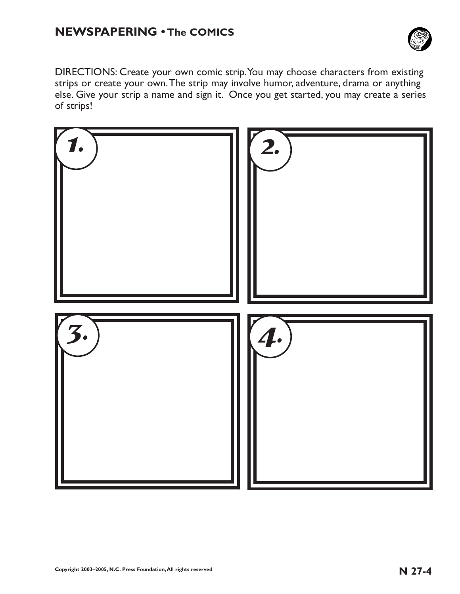

DIRECTIONS: Create your own comic strip.You may choose characters from existing strips or create your own.The strip may involve humor, adventure, drama or anything else. Give your strip a name and sign it. Once you get started, you may create a series of strips!

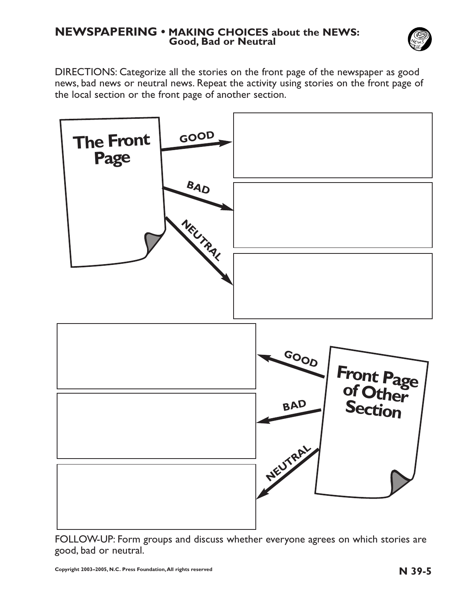### **NEWSPAPERING • MAKING CHOICES about the NEWS: Good, Bad or Neutral**



DIRECTIONS: Categorize all the stories on the front page of the newspaper as good news, bad news or neutral news. Repeat the activity using stories on the front page of the local section or the front page of another section.



FOLLOW-UP: Form groups and discuss whether everyone agrees on which stories are good, bad or neutral.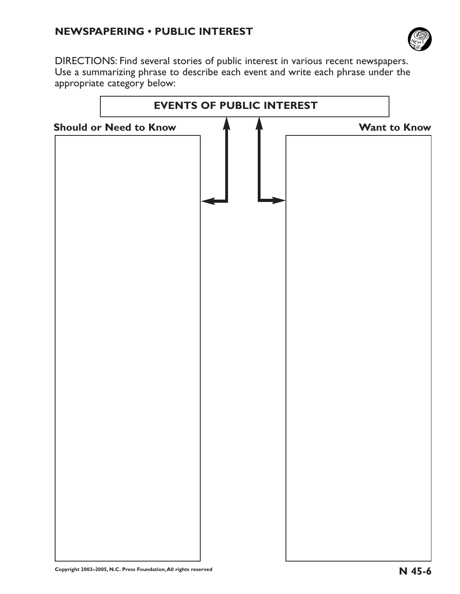## **NEWSPAPERING • PUBLIC INTEREST**



DIRECTIONS: Find several stories of public interest in various recent newspapers. Use a summarizing phrase to describe each event and write each phrase under the appropriate category below:

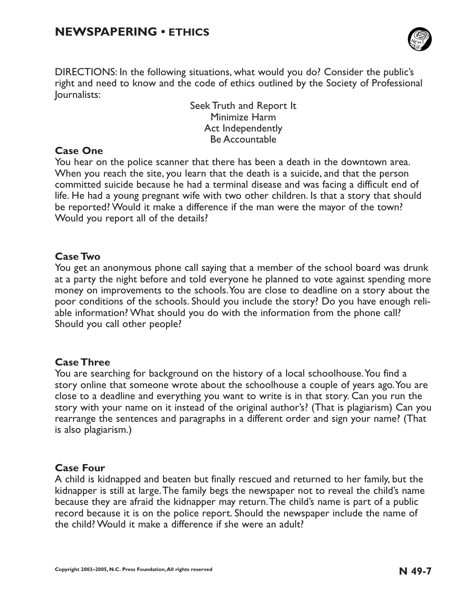

DIRECTIONS: In the following situations, what would you do? Consider the public's right and need to know and the code of ethics outlined by the Society of Professional Journalists:

> Seek Truth and Report It Minimize Harm Act Independently Be Accountable

### **Case One**

You hear on the police scanner that there has been a death in the downtown area. When you reach the site, you learn that the death is a suicide, and that the person committed suicide because he had a terminal disease and was facing a difficult end of life. He had a young pregnant wife with two other children. Is that a story that should be reported? Would it make a difference if the man were the mayor of the town? Would you report all of the details?

### **Case Two**

You get an anonymous phone call saying that a member of the school board was drunk at a party the night before and told everyone he planned to vote against spending more money on improvements to the schools.You are close to deadline on a story about the poor conditions of the schools. Should you include the story? Do you have enough reliable information? What should you do with the information from the phone call? Should you call other people?

#### **Case Three**

You are searching for background on the history of a local schoolhouse.You find a story online that someone wrote about the schoolhouse a couple of years ago.You are close to a deadline and everything you want to write is in that story. Can you run the story with your name on it instead of the original author's? (That is plagiarism) Can you rearrange the sentences and paragraphs in a different order and sign your name? (That is also plagiarism.)

#### **Case Four**

A child is kidnapped and beaten but finally rescued and returned to her family, but the kidnapper is still at large.The family begs the newspaper not to reveal the child's name because they are afraid the kidnapper may return.The child's name is part of a public record because it is on the police report. Should the newspaper include the name of the child? Would it make a difference if she were an adult?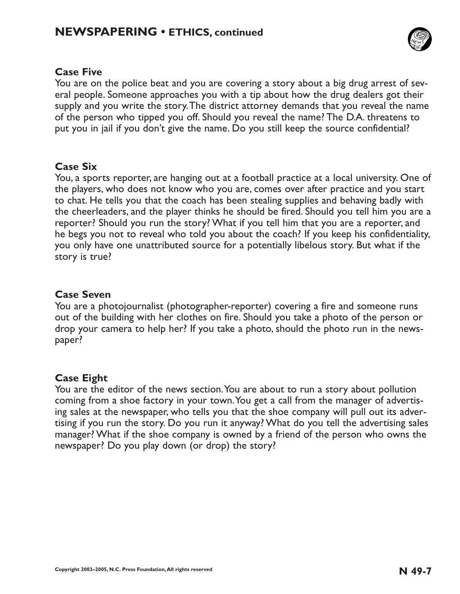

## **Case Five**

You are on the police beat and you are covering a story about a big drug arrest of several people. Someone approaches you with a tip about how the drug dealers got their supply and you write the story.The district attorney demands that you reveal the name of the person who tipped you off. Should you reveal the name? The D.A. threatens to put you in jail if you don't give the name. Do you still keep the source confidential?

### **Case Six**

You, a sports reporter, are hanging out at a football practice at a local university. One of the players, who does not know who you are, comes over after practice and you start to chat. He tells you that the coach has been stealing supplies and behaving badly with the cheerleaders, and the player thinks he should be fired. Should you tell him you are a reporter? Should you run the story? What if you tell him that you are a reporter, and he begs you not to reveal who told you about the coach? If you keep his confidentiality, you only have one unattributed source for a potentially libelous story. But what if the story is true?

### **Case Seven**

You are a photojournalist (photographer-reporter) covering a fire and someone runs out of the building with her clothes on fire. Should you take a photo of the person or drop your camera to help her? If you take a photo, should the photo run in the newspaper?

## **Case Eight**

You are the editor of the news section.You are about to run a story about pollution coming from a shoe factory in your town.You get a call from the manager of advertising sales at the newspaper, who tells you that the shoe company will pull out its advertising if you run the story. Do you run it anyway? What do you tell the advertising sales manager? What if the shoe company is owned by a friend of the person who owns the newspaper? Do you play down (or drop) the story?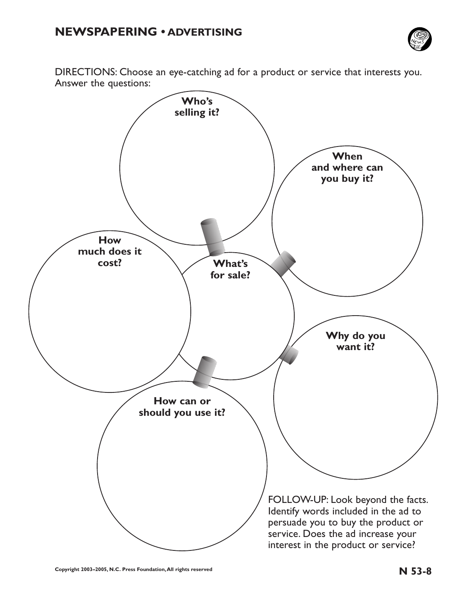

DIRECTIONS: Choose an eye-catching ad for a product or service that interests you. Answer the questions:

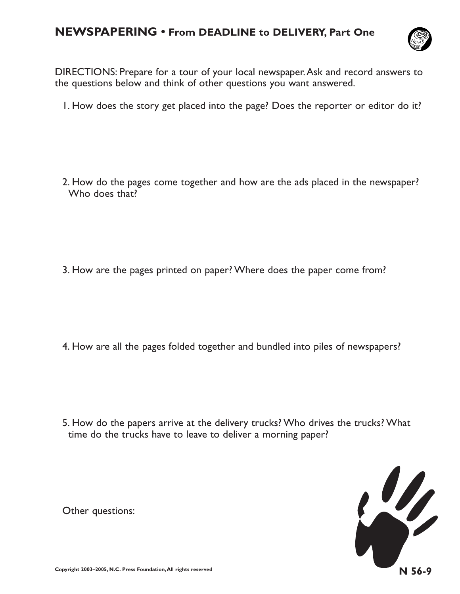# **NEWSPAPERING • From DEADLINE to DELIVERY, Part One**



DIRECTIONS: Prepare for a tour of your local newspaper.Ask and record answers to the questions below and think of other questions you want answered.

1. How does the story get placed into the page? Does the reporter or editor do it?

2. How do the pages come together and how are the ads placed in the newspaper? Who does that?

3. How are the pages printed on paper? Where does the paper come from?

4. How are all the pages folded together and bundled into piles of newspapers?

5. How do the papers arrive at the delivery trucks? Who drives the trucks? What time do the trucks have to leave to deliver a morning paper?



Other questions: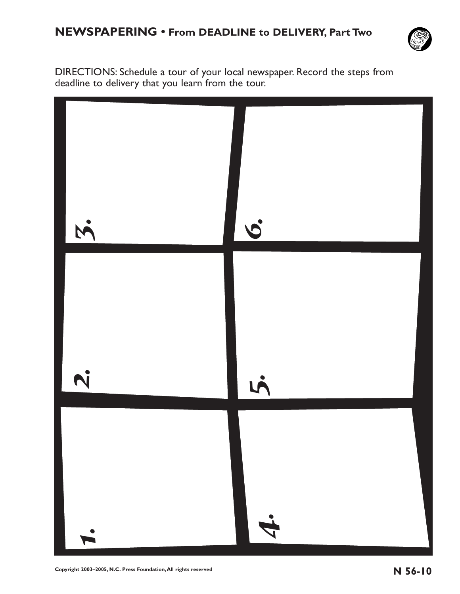![](_page_10_Picture_1.jpeg)

DIRECTIONS: Schedule a tour of your local newspaper. Record the steps from deadline to delivery that you learn from the tour.

![](_page_10_Picture_3.jpeg)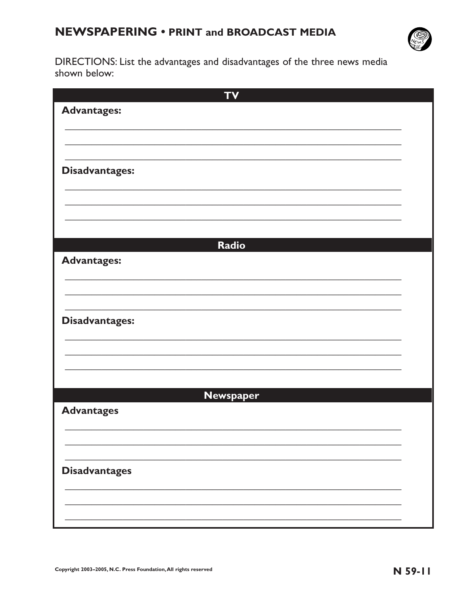# **NEWSPAPERING • PRINT and BROADCAST MEDIA**

![](_page_11_Picture_1.jpeg)

DIRECTIONS: List the advantages and disadvantages of the three news media shown below:

| <b>TV</b>             |  |
|-----------------------|--|
| <b>Advantages:</b>    |  |
|                       |  |
|                       |  |
|                       |  |
| <b>Disadvantages:</b> |  |
|                       |  |
|                       |  |
|                       |  |
|                       |  |
| Radio                 |  |
| <b>Advantages:</b>    |  |
|                       |  |
|                       |  |
|                       |  |
| <b>Disadvantages:</b> |  |
|                       |  |
|                       |  |
|                       |  |
|                       |  |
| <b>Newspaper</b>      |  |
| <b>Advantages</b>     |  |
|                       |  |
|                       |  |
|                       |  |
| <b>Disadvantages</b>  |  |
|                       |  |
|                       |  |
|                       |  |
|                       |  |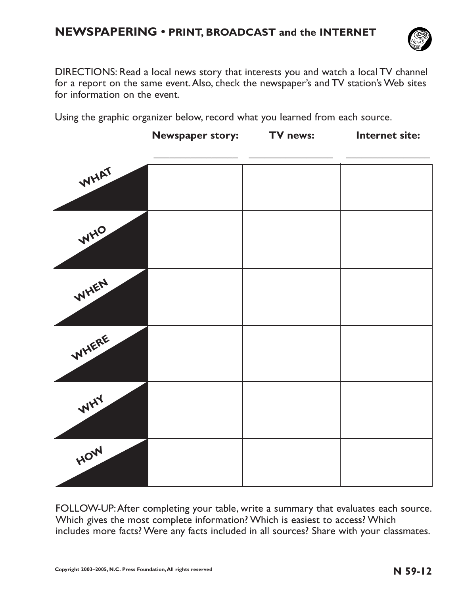# **NEWSPAPERING • PRINT, BROADCAST and the INTERNET**

![](_page_12_Picture_1.jpeg)

DIRECTIONS: Read a local news story that interests you and watch a local TV channel for a report on the same event.Also, check the newspaper's and TV station's Web sites for information on the event.

Using the graphic organizer below, record what you learned from each source.

|       | <b>Newspaper story:</b> | TV news: | Internet site: |
|-------|-------------------------|----------|----------------|
| WHAT  |                         |          |                |
| WHO   |                         |          |                |
| WHEN  |                         |          |                |
| WHERE |                         |          |                |
| WHY   |                         |          |                |
| HOW   |                         |          |                |

FOLLOW-UP:After completing your table, write a summary that evaluates each source. Which gives the most complete information? Which is easiest to access? Which includes more facts? Were any facts included in all sources? Share with your classmates.